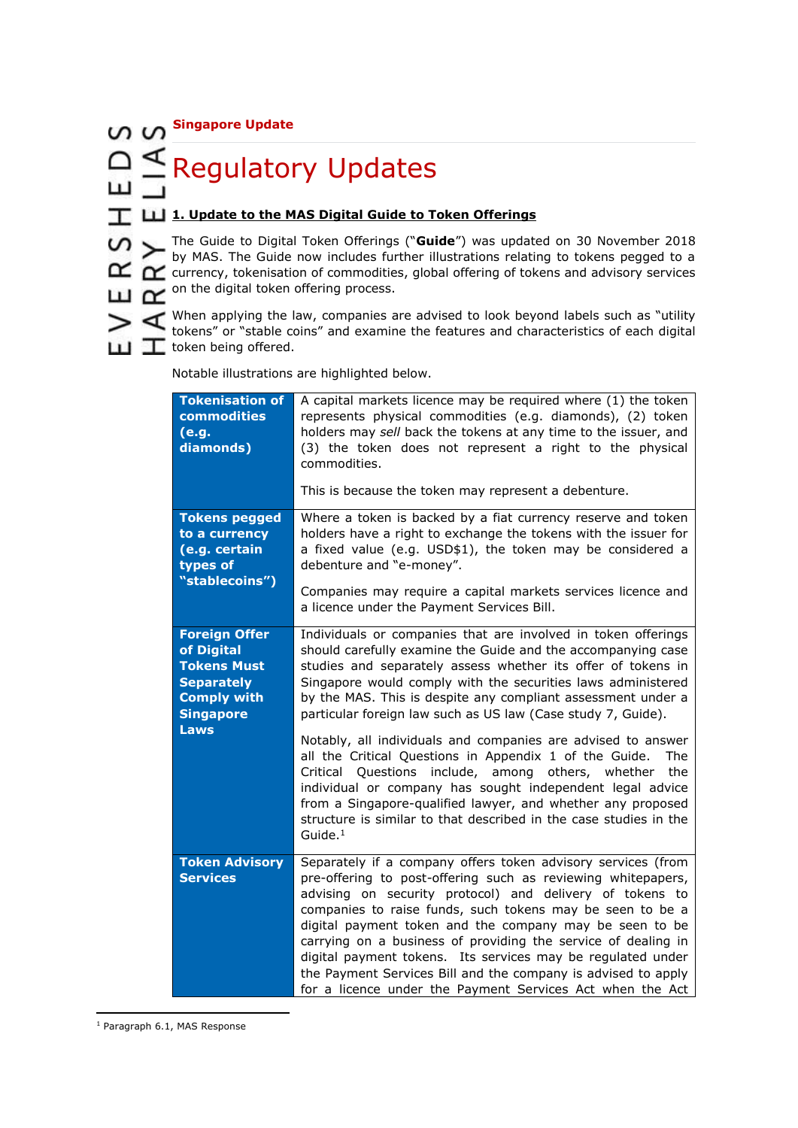**Singapore Update**

ПŤ Ш

# □ E Regulatory Updates

## **1. Update to the MAS Digital Guide to Token Offerings**

The Guide to Digital Token Offerings ("**Guide**") was updated on 30 November 2018 by MAS. The Guide now includes further illustrations relating to tokens pegged to a  $\mathbf{\alpha}$   $\alpha$  currency, tokenisation of commodities, global offering of tokens and advisory services **LLI CO** on the digital token offering process.

 $\triangleright$   $\triangle$  When applying the law, companies are advised to look beyond labels such as "utility tokens" or "stable coins" and examine the features and characteristics of each digital **T** token being offered.

| <b>Tokenisation of</b><br>commodities<br>(e.g.<br>diamonds)                                                                            | A capital markets licence may be required where (1) the token<br>represents physical commodities (e.g. diamonds), (2) token<br>holders may sell back the tokens at any time to the issuer, and<br>(3) the token does not represent a right to the physical<br>commodities.<br>This is because the token may represent a debenture.                                                                                                                                                                                                                                                                                                                                                                                                                                                                        |  |  |
|----------------------------------------------------------------------------------------------------------------------------------------|-----------------------------------------------------------------------------------------------------------------------------------------------------------------------------------------------------------------------------------------------------------------------------------------------------------------------------------------------------------------------------------------------------------------------------------------------------------------------------------------------------------------------------------------------------------------------------------------------------------------------------------------------------------------------------------------------------------------------------------------------------------------------------------------------------------|--|--|
| <b>Tokens pegged</b><br>to a currency<br>(e.g. certain<br>types of<br>"stablecoins")                                                   | Where a token is backed by a fiat currency reserve and token<br>holders have a right to exchange the tokens with the issuer for<br>a fixed value (e.g. USD\$1), the token may be considered a<br>debenture and "e-money".<br>Companies may require a capital markets services licence and<br>a licence under the Payment Services Bill.                                                                                                                                                                                                                                                                                                                                                                                                                                                                   |  |  |
| <b>Foreign Offer</b><br>of Digital<br><b>Tokens Must</b><br><b>Separately</b><br><b>Comply with</b><br><b>Singapore</b><br><b>Laws</b> | Individuals or companies that are involved in token offerings<br>should carefully examine the Guide and the accompanying case<br>studies and separately assess whether its offer of tokens in<br>Singapore would comply with the securities laws administered<br>by the MAS. This is despite any compliant assessment under a<br>particular foreign law such as US law (Case study 7, Guide).<br>Notably, all individuals and companies are advised to answer<br>all the Critical Questions in Appendix 1 of the Guide.<br>The<br>Critical Questions include, among others, whether<br>the<br>individual or company has sought independent legal advice<br>from a Singapore-qualified lawyer, and whether any proposed<br>structure is similar to that described in the case studies in the<br>Guide. $1$ |  |  |
| <b>Token Advisory</b><br><b>Services</b>                                                                                               | Separately if a company offers token advisory services (from<br>pre-offering to post-offering such as reviewing whitepapers,<br>advising on security protocol) and delivery of tokens to<br>companies to raise funds, such tokens may be seen to be a<br>digital payment token and the company may be seen to be<br>carrying on a business of providing the service of dealing in<br>digital payment tokens. Its services may be regulated under<br>the Payment Services Bill and the company is advised to apply<br>for a licence under the Payment Services Act when the Act                                                                                                                                                                                                                            |  |  |

Notable illustrations are highlighted below.

**<sup>.</sup>** <sup>1</sup> Paragraph 6.1, MAS Response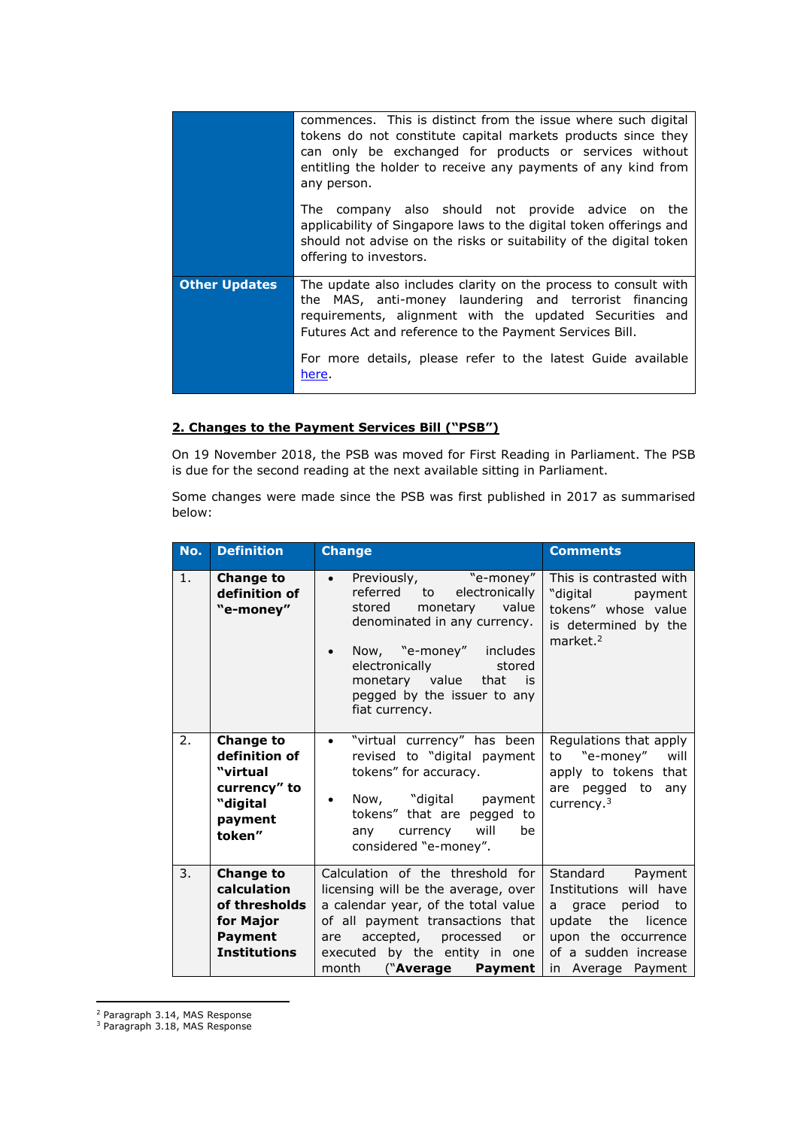|                      | commences. This is distinct from the issue where such digital<br>tokens do not constitute capital markets products since they<br>can only be exchanged for products or services without<br>entitling the holder to receive any payments of any kind from<br>any person.                                         |  |
|----------------------|-----------------------------------------------------------------------------------------------------------------------------------------------------------------------------------------------------------------------------------------------------------------------------------------------------------------|--|
|                      | The company also should not provide advice on the<br>applicability of Singapore laws to the digital token offerings and<br>should not advise on the risks or suitability of the digital token<br>offering to investors.                                                                                         |  |
| <b>Other Updates</b> | The update also includes clarity on the process to consult with<br>the MAS, anti-money laundering and terrorist financing<br>requirements, alignment with the updated Securities and<br>Futures Act and reference to the Payment Services Bill.<br>For more details, please refer to the latest Guide available |  |
|                      | here.                                                                                                                                                                                                                                                                                                           |  |

## **2. Changes to the Payment Services Bill ("PSB")**

On 19 November 2018, the PSB was moved for First Reading in Parliament. The PSB is due for the second reading at the next available sitting in Parliament.

Some changes were made since the PSB was first published in 2017 as summarised below:

| No. | <b>Definition</b>                                                                                      | <b>Change</b>                                                                                                                                                                                                                                                                                                                                                                                                      | <b>Comments</b>                                                                                                    |
|-----|--------------------------------------------------------------------------------------------------------|--------------------------------------------------------------------------------------------------------------------------------------------------------------------------------------------------------------------------------------------------------------------------------------------------------------------------------------------------------------------------------------------------------------------|--------------------------------------------------------------------------------------------------------------------|
| 1.  | <b>Change to</b><br>definition of<br>"e-money"                                                         | Previously, "e-money"<br>$\bullet$<br>electronically<br>referred to<br>value<br>stored<br>monetary<br>denominated in any currency.<br>Now, "e-money" includes<br>electronically<br>stored<br>monetary value that is<br>pegged by the issuer to any<br>fiat currency.                                                                                                                                               | This is contrasted with<br>"digital payment<br>tokens" whose value<br>is determined by the<br>market. <sup>2</sup> |
| 2.  | <b>Change to</b><br>definition of<br>"virtual<br>currency" to<br>"digital<br>payment<br>token"         | "virtual currency" has been<br>$\bullet$<br>revised to "digital payment<br>tokens" for accuracy.<br>Now, "digital payment<br>٠<br>tokens" that are pegged to<br>any currency will<br>be<br>considered "e-money".                                                                                                                                                                                                   | Regulations that apply<br>to "e-money"<br>will<br>apply to tokens that<br>are pegged to any<br>currency. $3$       |
| 3.  | <b>Change to</b><br>calculation<br>of thresholds<br>for Major<br><b>Payment</b><br><b>Institutions</b> | Calculation of the threshold for<br>Standard Payment<br>Institutions will have<br>licensing will be the average, over<br>a calendar year, of the total value<br>a grace period to<br>of all payment transactions that<br>update the<br>accepted, processed<br>upon the occurrence<br>are<br><b>or</b><br>executed by the entity in one<br>of a sudden increase<br>month<br>("Average Payment<br>in Average Payment |                                                                                                                    |

<sup>2</sup> Paragraph 3.14, MAS Response

1

<sup>3</sup> Paragraph 3.18, MAS Response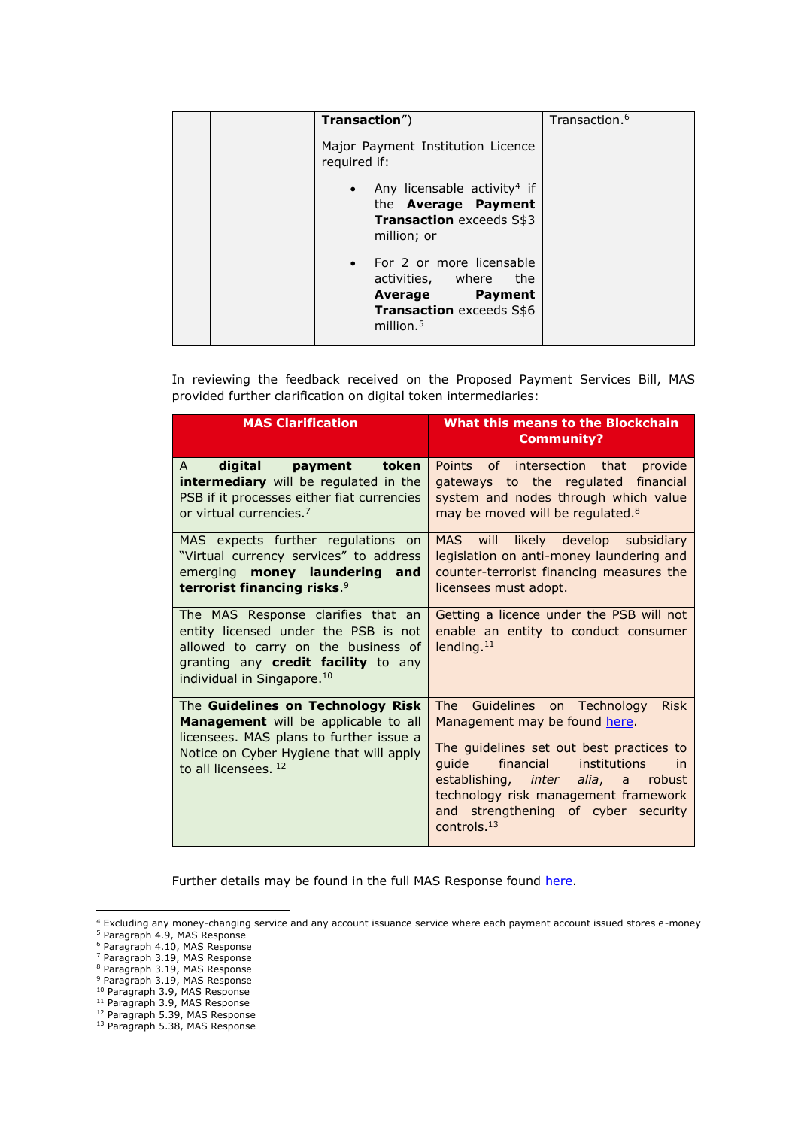| Transaction")                                                                                                                | Transaction. <sup>6</sup> |
|------------------------------------------------------------------------------------------------------------------------------|---------------------------|
| Major Payment Institution Licence<br>required if:                                                                            |                           |
| • Any licensable activity <sup>4</sup> if<br>the Average Payment<br><b>Transaction</b> exceeds S\$3<br>million; or           |                           |
| • For 2 or more licensable<br>activities, where<br>the<br>Average Payment<br><b>Transaction exceeds S\$6</b><br>million. $5$ |                           |

In reviewing the feedback received on the Proposed Payment Services Bill, MAS provided further clarification on digital token intermediaries:

| <b>MAS Clarification</b>                                                                                                                                                                           | What this means to the Blockchain<br><b>Community?</b>                                                                                                                                                                                                                                                                   |  |
|----------------------------------------------------------------------------------------------------------------------------------------------------------------------------------------------------|--------------------------------------------------------------------------------------------------------------------------------------------------------------------------------------------------------------------------------------------------------------------------------------------------------------------------|--|
| digital payment token<br>A<br>intermediary will be regulated in the<br>PSB if it processes either fiat currencies<br>or virtual currencies. <sup>7</sup>                                           | Points of intersection that provide<br>gateways to the regulated financial<br>system and nodes through which value<br>may be moved will be regulated. <sup>8</sup>                                                                                                                                                       |  |
| MAS expects further regulations on<br>"Virtual currency services" to address<br>emerging money laundering and<br>terrorist financing risks. <sup>9</sup>                                           | MAS will likely develop subsidiary<br>legislation on anti-money laundering and<br>counter-terrorist financing measures the<br>licensees must adopt.                                                                                                                                                                      |  |
| The MAS Response clarifies that an<br>entity licensed under the PSB is not<br>allowed to carry on the business of<br>granting any credit facility to any<br>individual in Singapore. <sup>10</sup> | Getting a licence under the PSB will not<br>enable an entity to conduct consumer<br>lending. <sup>11</sup>                                                                                                                                                                                                               |  |
| The Guidelines on Technology Risk<br>Management will be applicable to all<br>licensees. MAS plans to further issue a<br>Notice on Cyber Hygiene that will apply<br>to all licensees. $12$          | The l<br>Guidelines on Technology<br><b>Risk</b><br>Management may be found here.<br>The guidelines set out best practices to<br>financial<br>quide<br>institutions<br>in<br>establishing, <i>inter alia</i> , a robust<br>technology risk management framework<br>and strengthening of cyber security<br>controls. $13$ |  |

Further details may be found in the full MAS Response found [here.](http://www.mas.gov.sg/~/media/resource/publications/consult_papers/2017/Response%20to%20Feedback%20Received%20on%20Proposed%20Payment%20Services%20Bill%20MAS%20P0212017.pdf)

**.** 

<sup>&</sup>lt;sup>4</sup> Excluding any money-changing service and any account issuance service where each payment account issued stores e-money 5 Paragraph 4.9, MAS Response

<sup>6</sup> Paragraph 4.10, MAS Response

<sup>7</sup> Paragraph 3.19, MAS Response

<sup>&</sup>lt;sup>8</sup> Paragraph 3.19, MAS Response

<sup>&</sup>lt;sup>9</sup> Paragraph 3.19, MAS Response

<sup>&</sup>lt;sup>10</sup> Paragraph 3.9, MAS Response

<sup>11</sup> Paragraph 3.9, MAS Response

<sup>&</sup>lt;sup>12</sup> Paragraph 5.39, MAS Response

<sup>13</sup> Paragraph 5.38, MAS Response